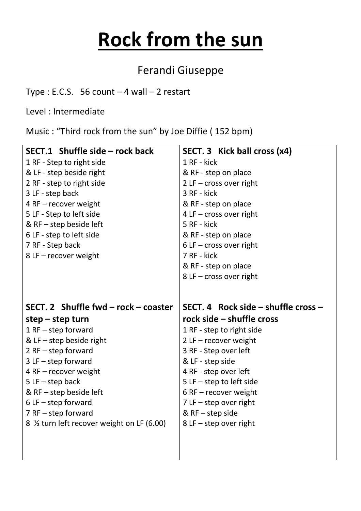## **Rock from the sun**

## Ferandi Giuseppe

Type : E.C.S.  $56$  count  $-4$  wall  $-2$  restart

Level : Intermediate

Music : "Third rock from the sun" by Joe Diffie ( 152 bpm)

| SECT.1 Shuffle side - rock back             | SECT. 3 Kick ball cross (x4)            |
|---------------------------------------------|-----------------------------------------|
| 1 RF - Step to right side                   | 1 RF - kick                             |
| & LF - step beside right                    | & RF - step on place                    |
| 2 RF - step to right side                   | $2$ LF – cross over right               |
| 3 LF - step back                            | 3 RF - kick                             |
| 4 RF - recover weight                       | & RF - step on place                    |
| 5 LF - Step to left side                    | 4 LF $-$ cross over right               |
| & $RF - step$ beside left                   | 5 RF - kick                             |
| 6 LF - step to left side                    | & RF - step on place                    |
| 7 RF - Step back                            | $6$ LF – cross over right               |
| 8 LF - recover weight                       | 7 RF - kick                             |
|                                             | & RF - step on place                    |
|                                             | $8$ LF – cross over right               |
|                                             |                                         |
|                                             |                                         |
| SECT. 2 Shuffle fwd – rock – coaster        | SECT. 4 Rock side $-$ shuffle cross $-$ |
|                                             |                                         |
| $step - step turn$                          | rock side - shuffle cross               |
| $1$ RF $-$ step forward                     | 1 RF - step to right side               |
| & LF $-$ step beside right                  | $2$ LF – recover weight                 |
| $2$ RF – step forward                       | 3 RF - Step over left                   |
| $3$ LF $-$ step forward                     | & LF - step side                        |
| 4 RF - recover weight                       | 4 RF - step over left                   |
| $5LF - step back$                           | $5$ LF $-$ step to left side            |
| & $RF$ – step beside left                   | 6 RF $-$ recover weight                 |
| $6$ LF $-$ step forward                     | $7$ LF $-$ step over right              |
| $7$ RF $-$ step forward                     | & $RF - step side$                      |
| 8 1/2 turn left recover weight on LF (6.00) | $8$ LF – step over right                |